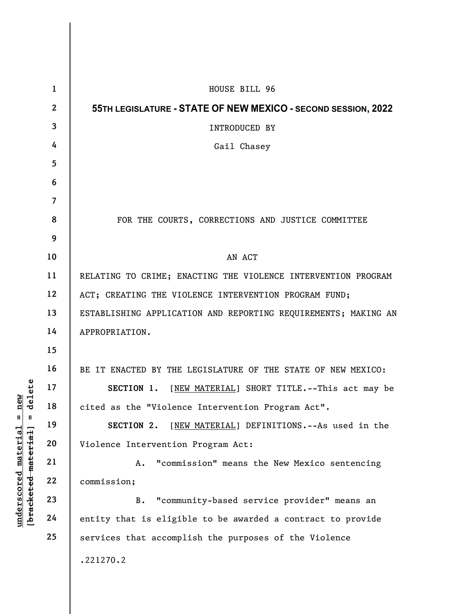|                                                                                                    | $\mathbf{1}$   | HOUSE BILL 96                                                  |
|----------------------------------------------------------------------------------------------------|----------------|----------------------------------------------------------------|
| elete<br>new<br>᠊ᢦ<br>$\mathsf{u}$<br>$\mathbf{I}$<br>[bracketed-material]<br>underscored material | $\mathbf{2}$   | 55TH LEGISLATURE - STATE OF NEW MEXICO - SECOND SESSION, 2022  |
|                                                                                                    | 3              | INTRODUCED BY                                                  |
|                                                                                                    | 4              | Gail Chasey                                                    |
|                                                                                                    | 5              |                                                                |
|                                                                                                    | 6              |                                                                |
|                                                                                                    | $\overline{7}$ |                                                                |
|                                                                                                    | 8              | FOR THE COURTS, CORRECTIONS AND JUSTICE COMMITTEE              |
|                                                                                                    | 9              |                                                                |
|                                                                                                    | 10             | AN ACT                                                         |
|                                                                                                    | 11             | RELATING TO CRIME; ENACTING THE VIOLENCE INTERVENTION PROGRAM  |
|                                                                                                    | 12             | ACT; CREATING THE VIOLENCE INTERVENTION PROGRAM FUND;          |
|                                                                                                    | 13             | ESTABLISHING APPLICATION AND REPORTING REQUIREMENTS; MAKING AN |
|                                                                                                    | 14             | APPROPRIATION.                                                 |
|                                                                                                    | 15             |                                                                |
|                                                                                                    | 16             | BE IT ENACTED BY THE LEGISLATURE OF THE STATE OF NEW MEXICO:   |
|                                                                                                    | 17             | SECTION 1.<br>[NEW MATERIAL] SHORT TITLE.--This act may be     |
|                                                                                                    | 18             | cited as the "Violence Intervention Program Act".              |
|                                                                                                    | 19             | SECTION 2.<br>[NEW MATERIAL] DEFINITIONS. -- As used in the    |
|                                                                                                    | 20             | Violence Intervention Program Act:                             |
|                                                                                                    | 21             | "commission" means the New Mexico sentencing<br>Α.             |
|                                                                                                    | 22             | commission;                                                    |
|                                                                                                    | 23             | "community-based service provider" means an<br><b>B.</b>       |
|                                                                                                    | 24             | entity that is eligible to be awarded a contract to provide    |
|                                                                                                    | 25             | services that accomplish the purposes of the Violence          |
|                                                                                                    |                | .221270.2                                                      |
|                                                                                                    |                |                                                                |
|                                                                                                    |                |                                                                |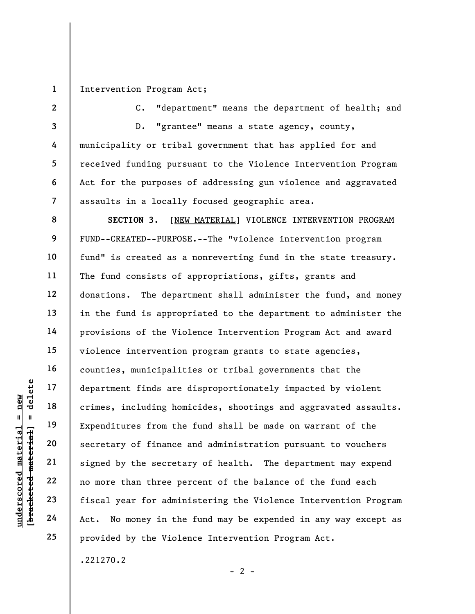1

2

3

4

5

6

7

Intervention Program Act;

C. "department" means the department of health; and

D. "grantee" means a state agency, county, municipality or tribal government that has applied for and received funding pursuant to the Violence Intervention Program Act for the purposes of addressing gun violence and aggravated assaults in a locally focused geographic area.

understand material department finds are<br>
under the crimes, including hom<br>
Expenditures from the<br>
secretary of finance<br>
secretary of finance<br>
21<br>
22<br>
10 more than three pe<br>
23<br>
fiscal year for admin<br>
24<br>
Act. No money in t 8 9 10 11 12 13 14 15 16 17 18 19 20 21 22 23 24 25 SECTION 3. [NEW MATERIAL] VIOLENCE INTERVENTION PROGRAM FUND--CREATED--PURPOSE.--The "violence intervention program fund" is created as a nonreverting fund in the state treasury. The fund consists of appropriations, gifts, grants and donations. The department shall administer the fund, and money in the fund is appropriated to the department to administer the provisions of the Violence Intervention Program Act and award violence intervention program grants to state agencies, counties, municipalities or tribal governments that the department finds are disproportionately impacted by violent crimes, including homicides, shootings and aggravated assaults. Expenditures from the fund shall be made on warrant of the secretary of finance and administration pursuant to vouchers signed by the secretary of health. The department may expend no more than three percent of the balance of the fund each fiscal year for administering the Violence Intervention Program Act. No money in the fund may be expended in any way except as provided by the Violence Intervention Program Act.

.221270.2

 $- 2 -$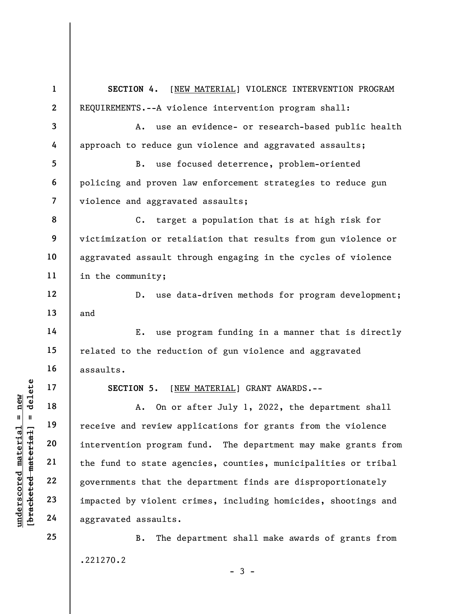underscored material = new [bracketed material] = delete 1 2 3 4 5 6 7 8 9 10 11 12 13 14 15 16 17 18 19 20 21 22 23 24 25 SECTION 4. [NEW MATERIAL] VIOLENCE INTERVENTION PROGRAM REQUIREMENTS.--A violence intervention program shall: A. use an evidence- or research-based public health approach to reduce gun violence and aggravated assaults; B. use focused deterrence, problem-oriented policing and proven law enforcement strategies to reduce gun violence and aggravated assaults; C. target a population that is at high risk for victimization or retaliation that results from gun violence or aggravated assault through engaging in the cycles of violence in the community; D. use data-driven methods for program development; and E. use program funding in a manner that is directly related to the reduction of gun violence and aggravated assaults. SECTION 5. [NEW MATERIAL] GRANT AWARDS.-- A. On or after July 1, 2022, the department shall receive and review applications for grants from the violence intervention program fund. The department may make grants from the fund to state agencies, counties, municipalities or tribal governments that the department finds are disproportionately impacted by violent crimes, including homicides, shootings and aggravated assaults. B. The department shall make awards of grants from

.221270.2

 $-3 -$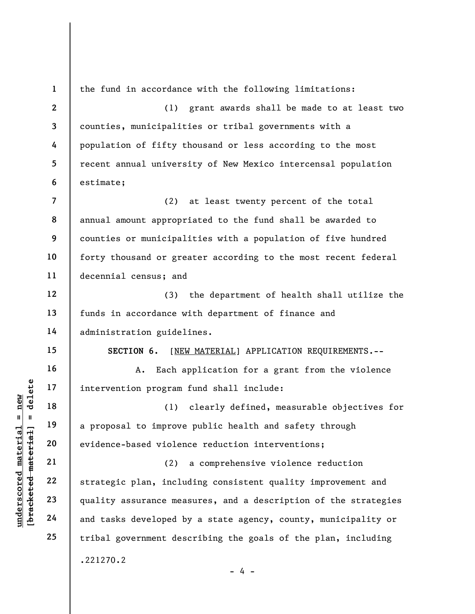understand material material end of the set of the set of the set of the set of the set of the set of the set of the set of the set of the set of the set of the set of the set of the set of the set of the set of the set of 1 2 3 4 5 6 7 8 9 10 11 12 13 14 15 16 17 18 19 20 21 22 23 24 25 the fund in accordance with the following limitations: (1) grant awards shall be made to at least two counties, municipalities or tribal governments with a population of fifty thousand or less according to the most recent annual university of New Mexico intercensal population estimate; (2) at least twenty percent of the total annual amount appropriated to the fund shall be awarded to counties or municipalities with a population of five hundred forty thousand or greater according to the most recent federal decennial census; and (3) the department of health shall utilize the funds in accordance with department of finance and administration guidelines. SECTION 6. [NEW MATERIAL] APPLICATION REQUIREMENTS.--A. Each application for a grant from the violence intervention program fund shall include: (1) clearly defined, measurable objectives for a proposal to improve public health and safety through evidence-based violence reduction interventions; (2) a comprehensive violence reduction strategic plan, including consistent quality improvement and quality assurance measures, and a description of the strategies and tasks developed by a state agency, county, municipality or tribal government describing the goals of the plan, including .221270.2  $- 4 -$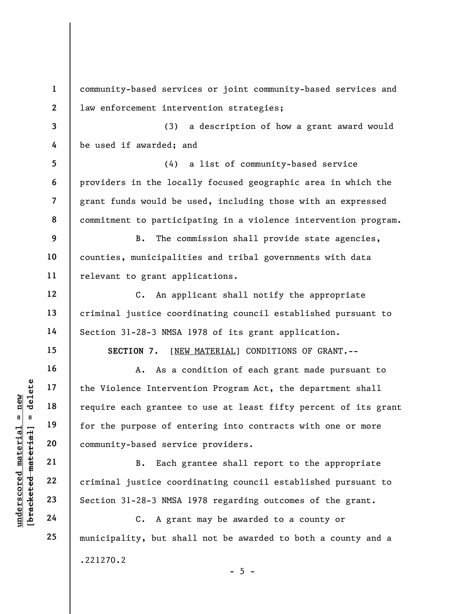underscored material = new [bracketed material] = delete 1 2 3 4 5 6 7 8 9 10 11 12 13 14 15 16 17 18 19 20 21 22 23 24 25 community-based services or joint community-based services and law enforcement intervention strategies; (3) a description of how a grant award would be used if awarded; and (4) a list of community-based service providers in the locally focused geographic area in which the grant funds would be used, including those with an expressed commitment to participating in a violence intervention program. B. The commission shall provide state agencies, counties, municipalities and tribal governments with data relevant to grant applications. C. An applicant shall notify the appropriate criminal justice coordinating council established pursuant to Section 31-28-3 NMSA 1978 of its grant application. SECTION 7. [NEW MATERIAL] CONDITIONS OF GRANT.-- A. As a condition of each grant made pursuant to the Violence Intervention Program Act, the department shall require each grantee to use at least fifty percent of its grant for the purpose of entering into contracts with one or more community-based service providers. B. Each grantee shall report to the appropriate criminal justice coordinating council established pursuant to Section 31-28-3 NMSA 1978 regarding outcomes of the grant. C. A grant may be awarded to a county or municipality, but shall not be awarded to both a county and a .221270.2  $- 5 -$